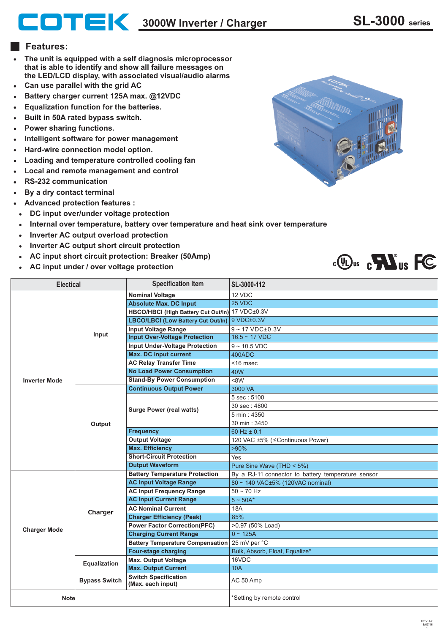**3000W Inverter / Charger SL-3000 series**

## **Features:**

- **The unit is equipped with a self diagnosis microprocessor that is able to identify and show all failure messages on the LED/LCD display, with associated visual/audio alarms**
- **Can use parallel with the grid AC**  $\bullet$
- **Battery charger current 125A max. @12VDC**
- **Equalization function for the batteries.**
- **Built in 50A rated bypass switch.**
- **Power sharing functions.**
- **Intelligent software for power management**
- **Hard-wire connection model option.**
- **Loading and temperature controlled cooling fan**
- **Local and remote management and control**
- **RS-232 communication**
- **By a dry contact terminal**
- **Advanced protection features :**
- **DC input over/under voltage protection**
- **Internal over temperature, battery over temperature and heat sink over temperature**  $\bullet$
- **Inverter AC output overload protection**
- **Inverter AC output short circuit protection**
- **AC input short circuit protection: Breaker (50Amp)**
- **AC input under / over voltage protection**





| <b>Electical</b>     |                      | <b>Specification Item</b>                        | SL-3000-112                                        |
|----------------------|----------------------|--------------------------------------------------|----------------------------------------------------|
| <b>Inverter Mode</b> | Input                | <b>Nominal Voltage</b>                           | 12 VDC                                             |
|                      |                      | <b>Absolute Max. DC Input</b>                    | 25 VDC                                             |
|                      |                      | HBCO/HBCI (High Battery Cut Out/In) 17 VDC±0.3V  |                                                    |
|                      |                      | LBCO/LBCI (Low Battery Cut Out/In)               | 9 VDC±0.3V                                         |
|                      |                      | <b>Input Voltage Range</b>                       | $9 - 17$ VDC $\pm$ 0.3V                            |
|                      |                      | <b>Input Over-Voltage Protection</b>             | $16.5 - 17$ VDC                                    |
|                      |                      | <b>Input Under-Voltage Protection</b>            | $9 - 10.5$ VDC                                     |
|                      |                      | <b>Max. DC input current</b>                     | 400ADC                                             |
|                      |                      | <b>AC Relay Transfer Time</b>                    | $<$ 16 msec                                        |
|                      |                      | <b>No Load Power Consumption</b>                 | 40W                                                |
|                      |                      | <b>Stand-By Power Consumption</b>                | <8W                                                |
|                      | Output               | <b>Continuous Output Power</b>                   | 3000 VA                                            |
|                      |                      | <b>Surge Power (real watts)</b>                  | 5 sec: 5100                                        |
|                      |                      |                                                  | 30 sec: 4800                                       |
|                      |                      |                                                  | 5 min: 4350                                        |
|                      |                      |                                                  | 30 min: 3450                                       |
|                      |                      | <b>Frequency</b>                                 | 60 Hz $\pm$ 0.1                                    |
|                      |                      | <b>Output Voltage</b>                            | 120 VAC ±5% (≤Continuous Power)                    |
|                      |                      | <b>Max. Efficiency</b>                           | $>90\%$                                            |
|                      |                      | <b>Short-Circuit Protection</b>                  | Yes                                                |
|                      |                      | <b>Output Waveform</b>                           | Pure Sine Wave (THD < 5%)                          |
| <b>Charger Mode</b>  | Charger              | <b>Battery Temperature Protection</b>            | By a RJ-11 connector to battery temperature sensor |
|                      |                      | <b>AC Input Voltage Range</b>                    | 80 ~ 140 VAC±5% (120VAC nominal)                   |
|                      |                      | <b>AC Input Frequency Range</b>                  | $50 - 70$ Hz                                       |
|                      |                      | <b>AC Input Current Range</b>                    | $5 \sim 50A^*$                                     |
|                      |                      | <b>AC Nominal Current</b>                        | 18A                                                |
|                      |                      | <b>Charger Efficiency (Peak)</b>                 | 85%                                                |
|                      |                      | <b>Power Factor Correction(PFC)</b>              | >0.97 (50% Load)                                   |
|                      |                      | <b>Charging Current Range</b>                    | $0 - 125A$                                         |
|                      |                      | <b>Battery Temperature Compensation</b>          | 25 mV per °C                                       |
|                      |                      | <b>Four-stage charging</b>                       | Bulk, Absorb, Float, Equalize*                     |
|                      | Equalization         | <b>Max. Output Voltage</b>                       | 16VDC                                              |
|                      |                      | <b>Max. Output Current</b>                       | <b>10A</b>                                         |
|                      | <b>Bypass Switch</b> | <b>Switch Specification</b><br>(Max. each input) | AC 50 Amp                                          |
| <b>Note</b>          |                      |                                                  | *Setting by remote control                         |